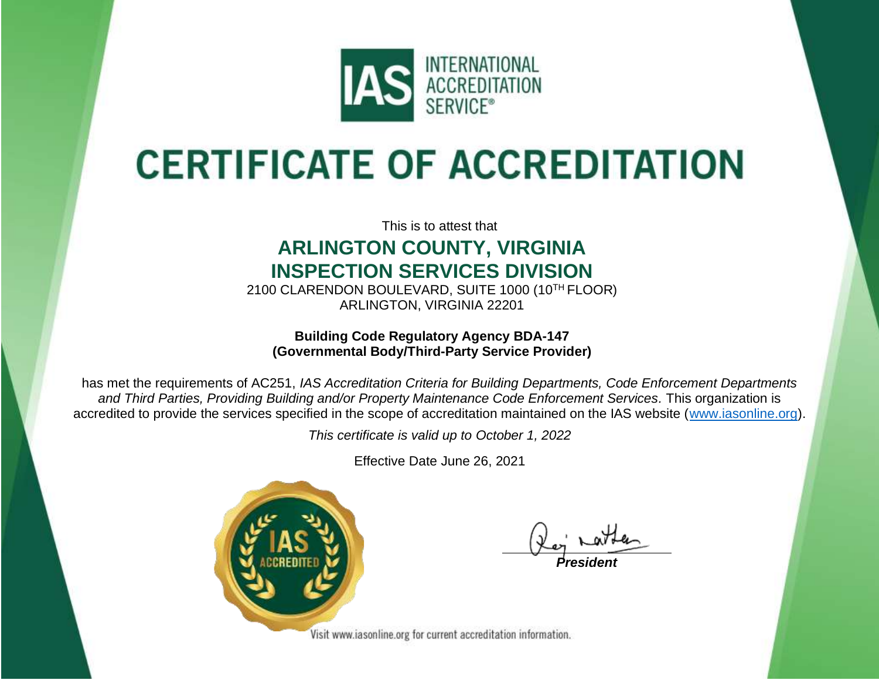

# **CERTIFICATE OF ACCREDITATION**

This is to attest that

#### **ARLINGTON COUNTY, VIRGINIA INSPECTION SERVICES DIVISION**

2100 CLARENDON BOULEVARD, SUITE 1000 (10TH FLOOR) ARLINGTON, VIRGINIA 22201

#### **Building Code Regulatory Agency BDA-147 (Governmental Body/Third-Party Service Provider)**

has met the requirements of AC251, *IAS Accreditation Criteria for Building Departments, Code Enforcement Departments and Third Parties, Providing Building and/or Property Maintenance Code Enforcement Services.* This organization is accredited to provide the services specified in the scope of accreditation maintained on the IAS website [\(www.iasonline.org\)](http://www.iasonline.org/).

*This certificate is valid up to October 1, 2022*

Effective Date June 26, 2021



*President*

Visit www.iasonline.org for current accreditation information.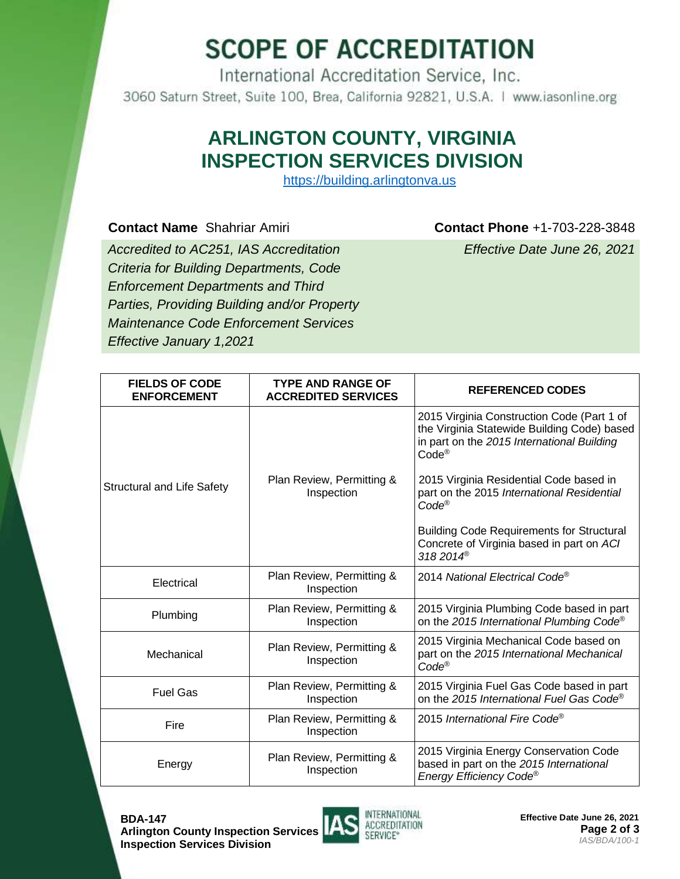## **SCOPE OF ACCREDITATION**

International Accreditation Service, Inc. 3060 Saturn Street, Suite 100, Brea, California 92821, U.S.A. | www.iasonline.org

### **ARLINGTON COUNTY, VIRGINIA INSPECTION SERVICES DIVISION**

https://building.arlingtonva.us

**Contact Name** Shahriar Amiri **Contact Phone** +1-703-228-3848

*Accredited to AC251, IAS Accreditation Criteria for Building Departments, Code Enforcement Departments and Third Parties, Providing Building and/or Property Maintenance Code Enforcement Services Effective January 1,2021*

*Effective Date June 26, 2021*

| <b>FIELDS OF CODE</b><br><b>ENFORCEMENT</b> | <b>TYPE AND RANGE OF</b><br><b>ACCREDITED SERVICES</b> | <b>REFERENCED CODES</b>                                                                                                                                      |
|---------------------------------------------|--------------------------------------------------------|--------------------------------------------------------------------------------------------------------------------------------------------------------------|
| <b>Structural and Life Safety</b>           | Plan Review, Permitting &<br>Inspection                | 2015 Virginia Construction Code (Part 1 of<br>the Virginia Statewide Building Code) based<br>in part on the 2015 International Building<br>Code <sup>®</sup> |
|                                             |                                                        | 2015 Virginia Residential Code based in<br>part on the 2015 International Residential<br>Code <sup>®</sup>                                                   |
|                                             |                                                        | <b>Building Code Requirements for Structural</b><br>Concrete of Virginia based in part on ACI<br>318 2014 <sup>®</sup>                                       |
| Electrical                                  | Plan Review, Permitting &<br>Inspection                | 2014 National Electrical Code®                                                                                                                               |
| Plumbing                                    | Plan Review, Permitting &<br>Inspection                | 2015 Virginia Plumbing Code based in part<br>on the 2015 International Plumbing Code®                                                                        |
| Mechanical                                  | Plan Review, Permitting &<br>Inspection                | 2015 Virginia Mechanical Code based on<br>part on the 2015 International Mechanical<br>Code <sup>®</sup>                                                     |
| <b>Fuel Gas</b>                             | Plan Review, Permitting &<br>Inspection                | 2015 Virginia Fuel Gas Code based in part<br>on the 2015 International Fuel Gas Code®                                                                        |
| Fire                                        | Plan Review, Permitting &<br>Inspection                | 2015 International Fire Code <sup>®</sup>                                                                                                                    |
| Energy                                      | Plan Review, Permitting &<br>Inspection                | 2015 Virginia Energy Conservation Code<br>based in part on the 2015 International<br>Energy Efficiency Code®                                                 |